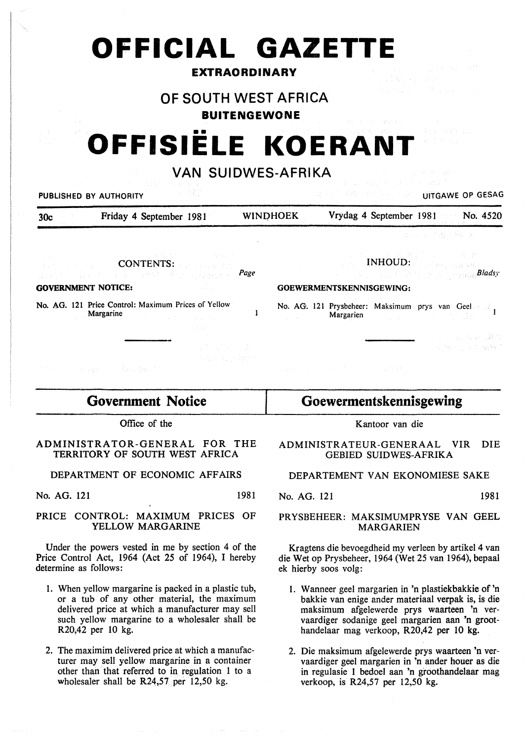## **OFFICIAL GAZETTE**

## **EXTRAORDINARY**

## **OF SOUTH WEST AFRICA**

**BUITENGEWONE** 

# **OFFISIELE KOERANT**

## **VAN SUIDWES-AFRIKA**

| the company of the company of the company of the company of the company of the company of the company<br>A SRO<br>PUBLISHED BY AUTHORITY                                                                                                                                                                           | <b>DESCRIPTION OF BUILDING OP GESAG</b>                                                                                                                                                                                                                                                                                                                                                                                                                                                                                                                                                |
|--------------------------------------------------------------------------------------------------------------------------------------------------------------------------------------------------------------------------------------------------------------------------------------------------------------------|----------------------------------------------------------------------------------------------------------------------------------------------------------------------------------------------------------------------------------------------------------------------------------------------------------------------------------------------------------------------------------------------------------------------------------------------------------------------------------------------------------------------------------------------------------------------------------------|
| Friday 4 September 1981<br>30c                                                                                                                                                                                                                                                                                     | Vrydag 4 September 1981 No. 4520<br><b>WINDHOEK</b>                                                                                                                                                                                                                                                                                                                                                                                                                                                                                                                                    |
|                                                                                                                                                                                                                                                                                                                    | into a construgion George                                                                                                                                                                                                                                                                                                                                                                                                                                                                                                                                                              |
| アンチン しょうほう ひょうしょう こうしゅう<br><b>Experience CONTENTS:</b> Proposed the<br>Page<br>1. 1997年,福建国内的国家,日常保护国家公司和公路安全。<br><b>GOVERNMENT NOTICE:</b><br>$\sim 44.5$                                                                                                                                                         | $\blacksquare$ $\blacksquare$ $\blacksquare$ $\blacksquare$ $\blacksquare$ $\blacksquare$ $\blacksquare$ $\blacksquare$ $\blacksquare$ $\blacksquare$ $\blacksquare$ $\blacksquare$ $\blacksquare$ $\blacksquare$ $\blacksquare$ $\blacksquare$ $\blacksquare$ $\blacksquare$ $\blacksquare$ $\blacksquare$ $\blacksquare$ $\blacksquare$ $\blacksquare$ $\blacksquare$ $\blacksquare$ $\blacksquare$ $\blacksquare$ $\blacksquare$ $\blacksquare$ $\blacksquare$ $\blacksquare$ $\blacks$<br>and the second property of the property of the <b>Bladsy</b><br>GOEWERMENTSKENNISGEWING: |
| No. AG. 121 Price Control: Maximum Prices of Yellow<br>Margarine and the contract of the contract of the contract of the contract of the contract of the contract of the contract of the contract of the contract of the contract of the contract of the contract of the contract of<br><b>Secretary Community</b> | No. AG. 121 Prysbeheer: Maksimum prys van Geel<br>Margarien and the contract of the contract of the contract of the contract of the contract of the contract of the contract of the contract of the contract of the contract of the contract of the contract of the contract of                                                                                                                                                                                                                                                                                                        |
| 4 번 있는 사이 회<br>of the Application<br>The company of the Bank of the                                                                                                                                                                                                                                                | 第二 四、公公、暮鳥<br>in participati agént<br>しんえん しょうしょうきょう しょうほう                                                                                                                                                                                                                                                                                                                                                                                                                                                                                                                             |

**Government Notice**  Office of the

## ADMINISTRATOR-GENERAL FOR THE TERRITORY OF SOUTH WEST AFRICA

## DEPARTMENT OF ECONOMIC AFFAIRS

No. AG. 121 1981

### PRICE CONTROL: MAXIMUM PRICES OF YELLOW MARGARINE

Under the powers vested in me by section 4 of the Price Control Act, 1964 (Act 25 of 1964), I hereby determine as follows:

- 1. When yellow margarine is packed in a plastic tub, or a tub of any other material, the maximum delivered price at which a manufacturer may sell such yellow margarine to a wholesaler shall be R20,42 per 10 kg.
- 2. The maximim delivered price at which a manufacturer may sell yellow margarine in a container other than that referred to in regulation 1 to a wholesaler shall be  $R24,57$  per  $12,50$  kg.

## **Goewermentskennisgewing**

Kantoor van die

## ADMINISTRATEUR-GENERAAL VIR DIE GEBIED SUIDWES-AFRIKA

## DEPARTEMENT VAN EKONOMIESE SAKE

No. AG. 121 1981

#### PRYSBEHEER: MAKSIMUMPRYSE VAN GEEL MARGARIEN

Kragtens die bevoegdheid my verleen by artikel 4 van die Wet op Prysbeheer, 1964 (Wet 25 van 1964), bepaal ek hierby soos volg:

- 1. Wanneer geel margarien in 'n plastiekbakkie of 'n bakkie van enige ander materiaal verpak is, is die maksimum afgelewerde prys waarteen 'n vervaardiger sodanige geel margarien aan 'n groothandelaar mag verkoop, R20,42 per 10 kg.
- 2. Die maksimum afgelewerde prys waarteen 'n vervaardiger geel margarien in 'n ander houer as die in regulasie 1 bedoel aan 'n groothandelaar mag verkoop, is R24,57 per 12,50 kg.